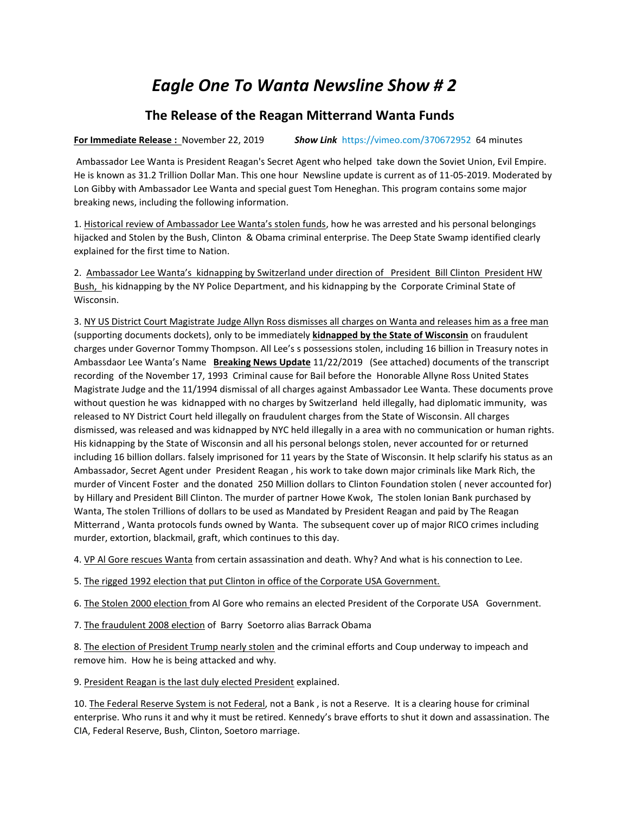## *Eagle One To Wanta Newsline Show # 2*

## **The Release of the Reagan Mitterrand Wanta Funds**

**For Immediate Release :** November 22, 2019 *Show Link* <https://vimeo.com/370672952>64 minutes

Ambassador Lee Wanta is President Reagan's Secret Agent who helped take down the Soviet Union, Evil Empire. He is known as 31.2 Trillion Dollar Man. This one hour Newsline update is current as of 11-05-2019. Moderated by Lon Gibby with Ambassador Lee Wanta and special guest Tom Heneghan. This program contains some major breaking news, including the following information.

1. Historical review of Ambassador Lee Wanta's stolen funds, how he was arrested and his personal belongings hijacked and Stolen by the Bush, Clinton & Obama criminal enterprise. The Deep State Swamp identified clearly explained for the first time to Nation.

2. Ambassador Lee Wanta's kidnapping by Switzerland under direction of President Bill Clinton President HW Bush, his kidnapping by the NY Police Department, and his kidnapping by the Corporate Criminal State of Wisconsin.

3. NY US District Court Magistrate Judge Allyn Ross dismisses all charges on Wanta and releases him as a free man (supporting documents dockets), only to be immediately **kidnapped by the State of Wisconsin** on fraudulent charges under Governor Tommy Thompson. All Lee's s possessions stolen, including 16 billion in Treasury notes in Ambassdaor Lee Wanta's Name **Breaking News Update** 11/22/2019 (See attached) documents of the transcript recording of the November 17, 1993 Criminal cause for Bail before the Honorable Allyne Ross United States Magistrate Judge and the 11/1994 dismissal of all charges against Ambassador Lee Wanta. These documents prove without question he was kidnapped with no charges by Switzerland held illegally, had diplomatic immunity, was released to NY District Court held illegally on fraudulent charges from the State of Wisconsin. All charges dismissed, was released and was kidnapped by NYC held illegally in a area with no communication or human rights. His kidnapping by the State of Wisconsin and all his personal belongs stolen, never accounted for or returned including 16 billion dollars. falsely imprisoned for 11 years by the State of Wisconsin. It help sclarify his status as an Ambassador, Secret Agent under President Reagan , his work to take down major criminals like Mark Rich, the murder of Vincent Foster and the donated 250 Million dollars to Clinton Foundation stolen ( never accounted for) by Hillary and President Bill Clinton. The murder of partner Howe Kwok, The stolen Ionian Bank purchased by Wanta, The stolen Trillions of dollars to be used as Mandated by President Reagan and paid by The Reagan Mitterrand , Wanta protocols funds owned by Wanta. The subsequent cover up of major RICO crimes including murder, extortion, blackmail, graft, which continues to this day.

4. VP Al Gore rescues Wanta from certain assassination and death. Why? And what is his connection to Lee.

5. The rigged 1992 election that put Clinton in office of the Corporate USA Government.

6. The Stolen 2000 election from Al Gore who remains an elected President of the Corporate USA Government.

7. The fraudulent 2008 election of Barry Soetorro alias Barrack Obama

8. The election of President Trump nearly stolen and the criminal efforts and Coup underway to impeach and remove him. How he is being attacked and why.

9. President Reagan is the last duly elected President explained.

10. The Federal Reserve System is not Federal, not a Bank , is not a Reserve. It is a clearing house for criminal enterprise. Who runs it and why it must be retired. Kennedy's brave efforts to shut it down and assassination. The CIA, Federal Reserve, Bush, Clinton, Soetoro marriage.